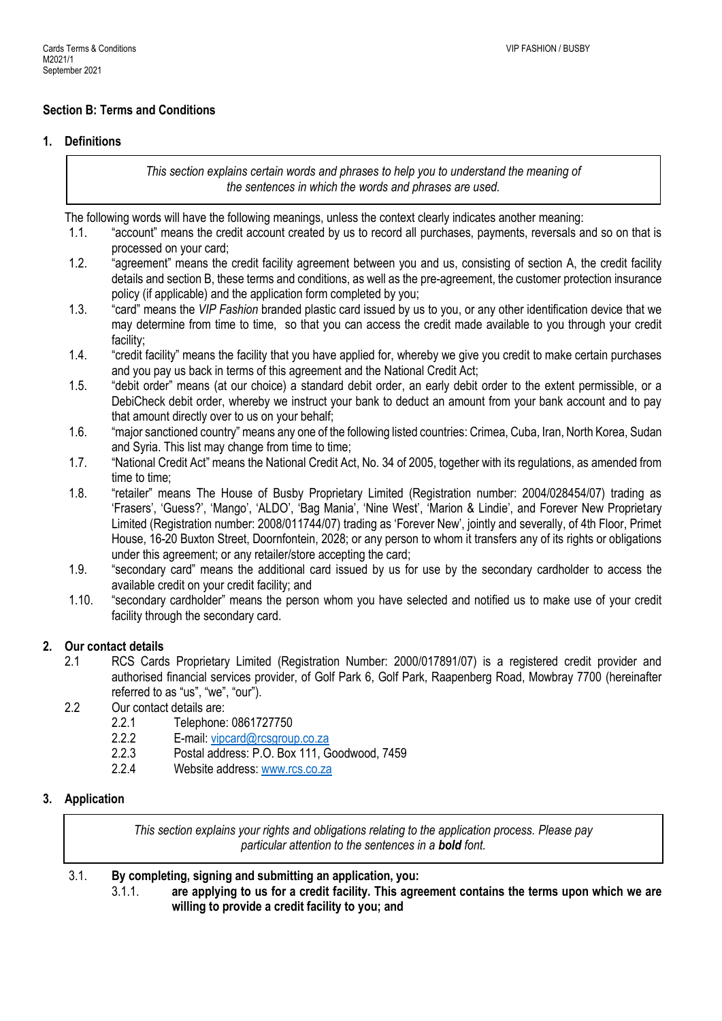# **Section B: Terms and Conditions**

## **1. Definitions**

*This section explains certain words and phrases to help you to understand the meaning of the sentences in which the words and phrases are used.*

The following words will have the following meanings, unless the context clearly indicates another meaning:

- 1.1. "account" means the credit account created by us to record all purchases, payments, reversals and so on that is processed on your card;
- 1.2. "agreement" means the credit facility agreement between you and us, consisting of section A, the credit facility details and section B, these terms and conditions, as well as the pre-agreement, the customer protection insurance policy (if applicable) and the application form completed by you;
- 1.3. "card" means the *VIP Fashion* branded plastic card issued by us to you, or any other identification device that we may determine from time to time, so that you can access the credit made available to you through your credit facility;
- 1.4. "credit facility" means the facility that you have applied for, whereby we give you credit to make certain purchases and you pay us back in terms of this agreement and the National Credit Act;
- 1.5. "debit order" means (at our choice) a standard debit order, an early debit order to the extent permissible, or a DebiCheck debit order, whereby we instruct your bank to deduct an amount from your bank account and to pay that amount directly over to us on your behalf;
- 1.6. "major sanctioned country" means any one of the following listed countries: Crimea, Cuba, Iran, North Korea, Sudan and Syria. This list may change from time to time;
- 1.7. "National Credit Act" means the National Credit Act, No. 34 of 2005, together with its regulations, as amended from time to time;
- 1.8. "retailer" means The House of Busby Proprietary Limited (Registration number: 2004/028454/07) trading as 'Frasers', 'Guess?', 'Mango', 'ALDO', 'Bag Mania', 'Nine West', 'Marion & Lindie', and Forever New Proprietary Limited (Registration number: 2008/011744/07) trading as 'Forever New', jointly and severally, of 4th Floor, Primet House, 16-20 Buxton Street, Doornfontein, 2028; or any person to whom it transfers any of its rights or obligations under this agreement; or any retailer/store accepting the card;
- 1.9. "secondary card" means the additional card issued by us for use by the secondary cardholder to access the available credit on your credit facility; and
- 1.10. "secondary cardholder" means the person whom you have selected and notified us to make use of your credit facility through the secondary card.

## **2. Our contact details**

- 2.1 RCS Cards Proprietary Limited (Registration Number: 2000/017891/07) is a registered credit provider and authorised financial services provider, of Golf Park 6, Golf Park, Raapenberg Road, Mowbray 7700 (hereinafter referred to as "us", "we", "our").
- 2.2 Our contact details are:
	- 2.2.1 Telephone: 0861727750
	- 2.2.2 E-mail: [vipcard@rcsgroup.co.za](mailto:vipcard@rcsgroup.co.za)
	- 2.2.3 Postal address: P.O. Box 111, Goodwood, 7459
	- 2.2.4 Website address[: www.rcs.co.za](http://www.rcs.co.za/)

## **3. Application**

*This section explains your rights and obligations relating to the application process. Please pay particular attention to the sentences in a bold font.*

3.1. **By completing, signing and submitting an application, you:**

3.1.1. **are applying to us for a credit facility. This agreement contains the terms upon which we are willing to provide a credit facility to you; and**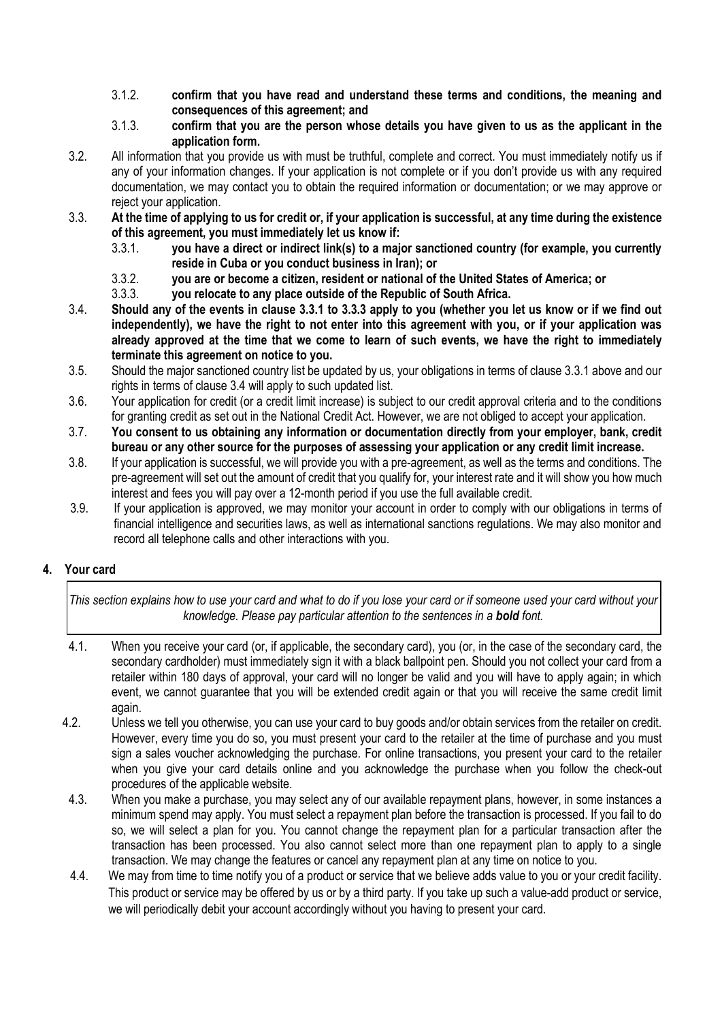- 3.1.2. **confirm that you have read and understand these terms and conditions, the meaning and consequences of this agreement; and**
- 3.1.3. **confirm that you are the person whose details you have given to us as the applicant in the application form.**
- 3.2. All information that you provide us with must be truthful, complete and correct. You must immediately notify us if any of your information changes. If your application is not complete or if you don't provide us with any required documentation, we may contact you to obtain the required information or documentation; or we may approve or reject your application.
- 3.3. **At the time of applying to us for credit or, if your application is successful, at any time during the existence of this agreement, you must immediately let us know if:**
	- 3.3.1. **you have a direct or indirect link(s) to a major sanctioned country (for example, you currently reside in Cuba or you conduct business in Iran); or**
	- 3.3.2. **you are or become a citizen, resident or national of the United States of America; or**
	- 3.3.3. **you relocate to any place outside of the Republic of South Africa.**
- 3.4. **Should any of the events in clause 3.3.1 to 3.3.3 apply to you (whether you let us know or if we find out independently), we have the right to not enter into this agreement with you, or if your application was already approved at the time that we come to learn of such events, we have the right to immediately terminate this agreement on notice to you.**
- 3.5. Should the major sanctioned country list be updated by us, your obligations in terms of clause 3.3.1 above and our rights in terms of clause 3.4 will apply to such updated list.
- 3.6. Your application for credit (or a credit limit increase) is subject to our credit approval criteria and to the conditions for granting credit as set out in the National Credit Act. However, we are not obliged to accept your application.
- 3.7. **You consent to us obtaining any information or documentation directly from your employer, bank, credit bureau or any other source for the purposes of assessing your application or any credit limit increase.**
- 3.8. If your application is successful, we will provide you with a pre-agreement, as well as the terms and conditions. The pre-agreement will set out the amount of credit that you qualify for, your interest rate and it will show you how much interest and fees you will pay over a 12-month period if you use the full available credit.
- 3.9. If your application is approved, we may monitor your account in order to comply with our obligations in terms of financial intelligence and securities laws, as well as international sanctions regulations. We may also monitor and record all telephone calls and other interactions with you.

# **4. Your card**

*This section explains how to use your card and what to do if you lose your card or if someone used your card without your knowledge. Please pay particular attention to the sentences in a bold font.*

- 4.1. When you receive your card (or, if applicable, the secondary card), you (or, in the case of the secondary card, the secondary cardholder) must immediately sign it with a black ballpoint pen. Should you not collect your card from a retailer within 180 days of approval, your card will no longer be valid and you will have to apply again; in which event, we cannot guarantee that you will be extended credit again or that you will receive the same credit limit again.
- 4.2. Unless we tell you otherwise, you can use your card to buy goods and/or obtain services from the retailer on credit. However, every time you do so, you must present your card to the retailer at the time of purchase and you must sign a sales voucher acknowledging the purchase. For online transactions, you present your card to the retailer when you give your card details online and you acknowledge the purchase when you follow the check-out procedures of the applicable website.
- 4.3. When you make a purchase, you may select any of our available repayment plans, however, in some instances a minimum spend may apply. You must select a repayment plan before the transaction is processed. If you fail to do so, we will select a plan for you. You cannot change the repayment plan for a particular transaction after the transaction has been processed. You also cannot select more than one repayment plan to apply to a single transaction. We may change the features or cancel any repayment plan at any time on notice to you.
- 4.4. We may from time to time notify you of a product or service that we believe adds value to you or your credit facility. This product or service may be offered by us or by a third party. If you take up such a value-add product or service, we will periodically debit your account accordingly without you having to present your card.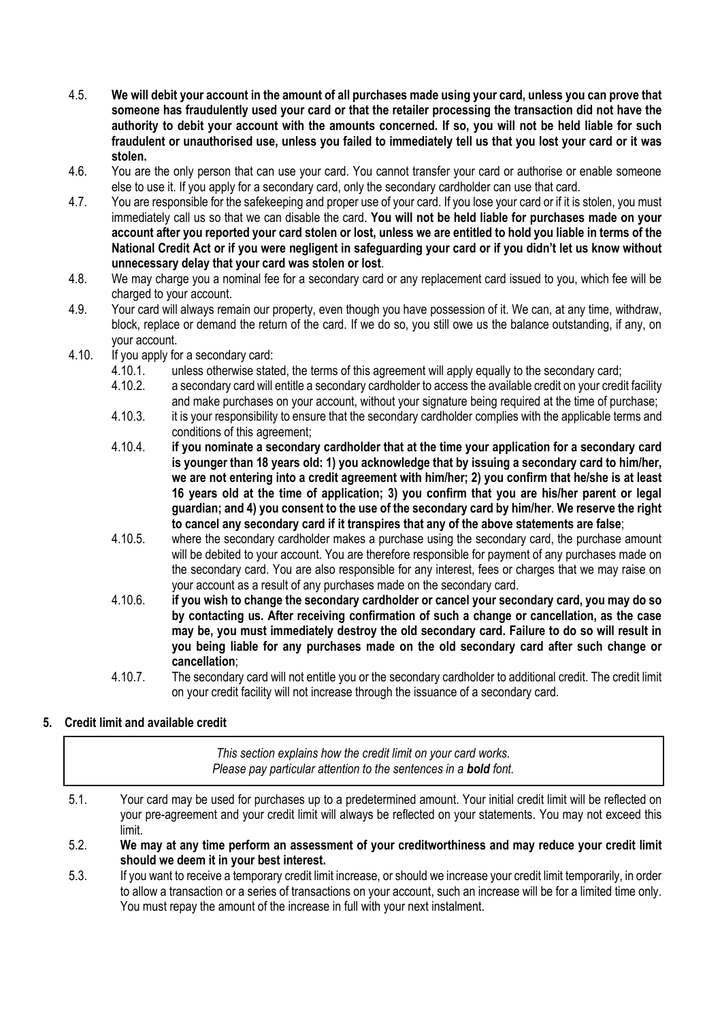- 4.5. **We will debit your account in the amount of all purchases made using your card, unless you can prove that someone has fraudulently used your card or that the retailer processing the transaction did not have the authority to debit your account with the amounts concerned. If so, you will not be held liable for such fraudulent or unauthorised use, unless you failed to immediately tell us that you lost your card or it was stolen.**
- 4.6. You are the only person that can use your card. You cannot transfer your card or authorise or enable someone else to use it. If you apply for a secondary card, only the secondary cardholder can use that card.
- 4.7. You are responsible for the safekeeping and proper use of your card. If you lose your card or if it is stolen, you must immediately call us so that we can disable the card. **You will not be held liable for purchases made on your account after you reported your card stolen or lost, unless we are entitled to hold you liable in terms of the National Credit Act or if you were negligent in safeguarding your card or if you didn't let us know without unnecessary delay that your card was stolen or lost**.
- 4.8. We may charge you a nominal fee for a secondary card or any replacement card issued to you, which fee will be charged to your account.
- 4.9. Your card will always remain our property, even though you have possession of it. We can, at any time, withdraw, block, replace or demand the return of the card. If we do so, you still owe us the balance outstanding, if any, on your account.
- 4.10. If you apply for a secondary card:
	- 4.10.1. unless otherwise stated, the terms of this agreement will apply equally to the secondary card;
	- 4.10.2. a secondary card will entitle a secondary cardholder to access the available credit on your credit facility and make purchases on your account, without your signature being required at the time of purchase;
	- 4.10.3. it is your responsibility to ensure that the secondary cardholder complies with the applicable terms and conditions of this agreement;
	- 4.10.4. **if you nominate a secondary cardholder that at the time your application for a secondary card is younger than 18 years old: 1) you acknowledge that by issuing a secondary card to him/her, we are not entering into a credit agreement with him/her; 2) you confirm that he/she is at least 16 years old at the time of application; 3) you confirm that you are his/her parent or legal guardian; and 4) you consent to the use of the secondary card by him/her**. **We reserve the right to cancel any secondary card if it transpires that any of the above statements are false**;
	- 4.10.5. where the secondary cardholder makes a purchase using the secondary card, the purchase amount will be debited to your account. You are therefore responsible for payment of any purchases made on the secondary card. You are also responsible for any interest, fees or charges that we may raise on your account as a result of any purchases made on the secondary card.
	- 4.10.6. **if you wish to change the secondary cardholder or cancel your secondary card, you may do so by contacting us. After receiving confirmation of such a change or cancellation, as the case may be, you must immediately destroy the old secondary card. Failure to do so will result in you being liable for any purchases made on the old secondary card after such change or cancellation**;
	- 4.10.7. The secondary card will not entitle you or the secondary cardholder to additional credit. The credit limit on your credit facility will not increase through the issuance of a secondary card.

# **5. Credit limit and available credit**

*This section explains how the credit limit on your card works. Please pay particular attention to the sentences in a bold font.*

- 5.1. Your card may be used for purchases up to a predetermined amount. Your initial credit limit will be reflected on your pre-agreement and your credit limit will always be reflected on your statements. You may not exceed this limit.
- 5.2. **We may at any time perform an assessment of your creditworthiness and may reduce your credit limit should we deem it in your best interest.**
- 5.3. If you want to receive a temporary credit limit increase, or should we increase your credit limit temporarily, in order to allow a transaction or a series of transactions on your account, such an increase will be for a limited time only. You must repay the amount of the increase in full with your next instalment.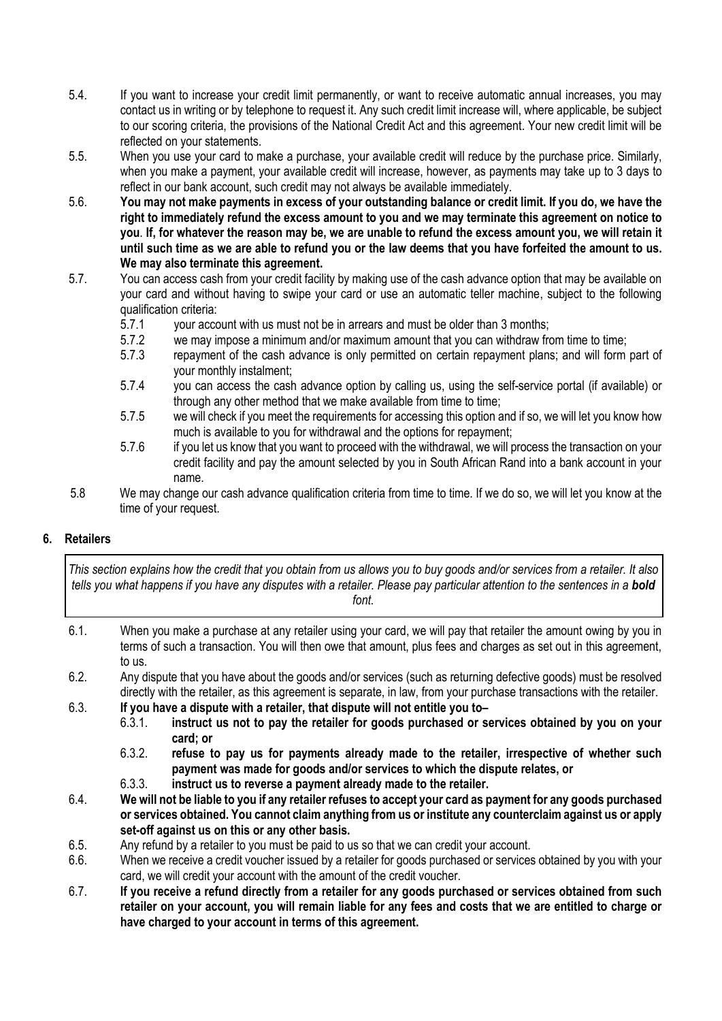- 5.4. If you want to increase your credit limit permanently, or want to receive automatic annual increases, you may contact us in writing or by telephone to request it. Any such credit limit increase will, where applicable, be subject to our scoring criteria, the provisions of the National Credit Act and this agreement. Your new credit limit will be reflected on your statements.
- 5.5. When you use your card to make a purchase, your available credit will reduce by the purchase price. Similarly, when you make a payment, your available credit will increase, however, as payments may take up to 3 days to reflect in our bank account, such credit may not always be available immediately.
- 5.6. **You may not make payments in excess of your outstanding balance or credit limit. If you do, we have the right to immediately refund the excess amount to you and we may terminate this agreement on notice to you**. **If, for whatever the reason may be, we are unable to refund the excess amount you, we will retain it until such time as we are able to refund you or the law deems that you have forfeited the amount to us. We may also terminate this agreement.**
- 5.7. You can access cash from your credit facility by making use of the cash advance option that may be available on your card and without having to swipe your card or use an automatic teller machine, subject to the following qualification criteria:
	- 5.7.1 your account with us must not be in arrears and must be older than 3 months;<br>5.7.2 we may impose a minimum and/or maximum amount that you can withdraw fro
	- we may impose a minimum and/or maximum amount that you can withdraw from time to time:
	- 5.7.3 repayment of the cash advance is only permitted on certain repayment plans; and will form part of your monthly instalment;
	- 5.7.4 you can access the cash advance option by calling us, using the self-service portal (if available) or through any other method that we make available from time to time;
	- 5.7.5 we will check if you meet the requirements for accessing this option and if so, we will let you know how much is available to you for withdrawal and the options for repayment;
	- 5.7.6 if you let us know that you want to proceed with the withdrawal, we will process the transaction on your credit facility and pay the amount selected by you in South African Rand into a bank account in your name.
- 5.8 We may change our cash advance qualification criteria from time to time. If we do so, we will let you know at the time of your request.

# **6. Retailers**

*This section explains how the credit that you obtain from us allows you to buy goods and/or services from a retailer. It also tells you what happens if you have any disputes with a retailer. Please pay particular attention to the sentences in a bold font.*

- 6.1. When you make a purchase at any retailer using your card, we will pay that retailer the amount owing by you in terms of such a transaction. You will then owe that amount, plus fees and charges as set out in this agreement, to us.
- 6.2. Any dispute that you have about the goods and/or services (such as returning defective goods) must be resolved directly with the retailer, as this agreement is separate, in law, from your purchase transactions with the retailer.
- 6.3. **If you have a dispute with a retailer, that dispute will not entitle you to–**
	- 6.3.1. **instruct us not to pay the retailer for goods purchased or services obtained by you on your card; or**
	- 6.3.2. **refuse to pay us for payments already made to the retailer, irrespective of whether such payment was made for goods and/or services to which the dispute relates, or**
	- 6.3.3. **instruct us to reverse a payment already made to the retailer.**
- 6.4. **We will not be liable to you if any retailer refuses to accept your card as payment for any goods purchased or services obtained. You cannot claim anything from us or institute any counterclaim against us or apply set-off against us on this or any other basis.**
- 6.5. Any refund by a retailer to you must be paid to us so that we can credit your account.
- 6.6. When we receive a credit voucher issued by a retailer for goods purchased or services obtained by you with your card, we will credit your account with the amount of the credit voucher.
- 6.7. **If you receive a refund directly from a retailer for any goods purchased or services obtained from such retailer on your account, you will remain liable for any fees and costs that we are entitled to charge or have charged to your account in terms of this agreement.**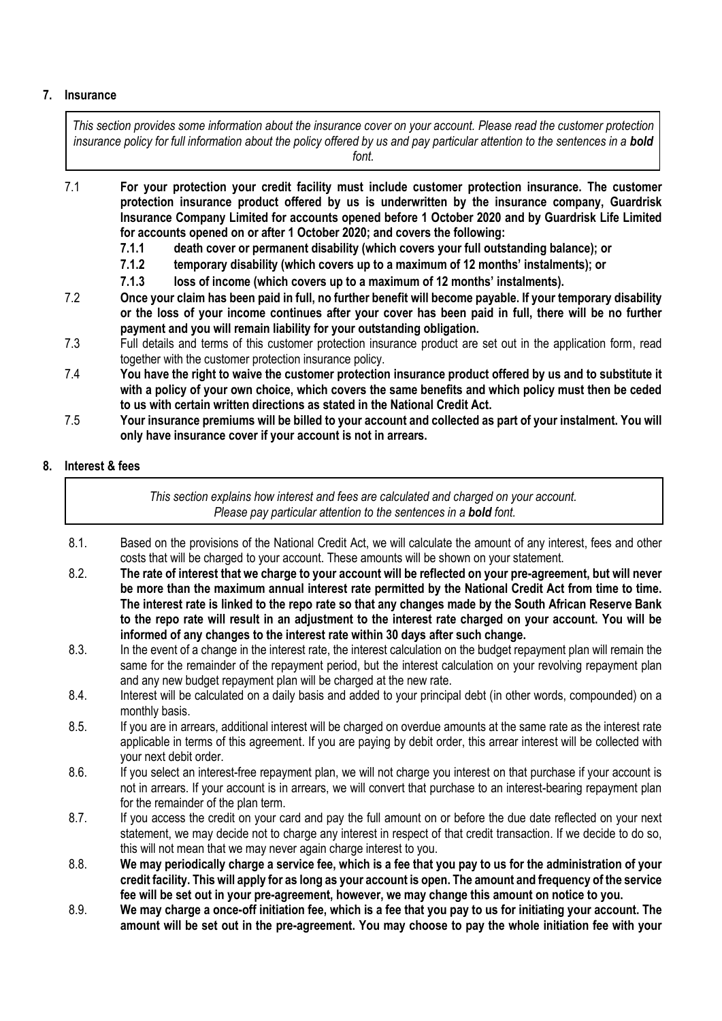## **7. Insurance**

*This section provides some information about the insurance cover on your account. Please read the customer protection insurance policy for full information about the policy offered by us and pay particular attention to the sentences in a bold font.*

- 7.1 **For your protection your credit facility must include customer protection insurance. The customer protection insurance product offered by us is underwritten by the insurance company, Guardrisk Insurance Company Limited for accounts opened before 1 October 2020 and by Guardrisk Life Limited for accounts opened on or after 1 October 2020; and covers the following:**
	- **7.1.1 death cover or permanent disability (which covers your full outstanding balance); or**
	- **7.1.2 temporary disability (which covers up to a maximum of 12 months' instalments); or**
	- **7.1.3 loss of income (which covers up to a maximum of 12 months' instalments).**
- 7.2 **Once your claim has been paid in full, no further benefit will become payable. If your temporary disability or the loss of your income continues after your cover has been paid in full, there will be no further payment and you will remain liability for your outstanding obligation.**
- 7.3 Full details and terms of this customer protection insurance product are set out in the application form, read together with the customer protection insurance policy.
- 7.4 **You have the right to waive the customer protection insurance product offered by us and to substitute it with a policy of your own choice, which covers the same benefits and which policy must then be ceded to us with certain written directions as stated in the National Credit Act.**
- 7.5 **Your insurance premiums will be billed to your account and collected as part of your instalment. You will only have insurance cover if your account is not in arrears.**

## **8. Interest & fees**

*This section explains how interest and fees are calculated and charged on your account. Please pay particular attention to the sentences in a bold font.*

- 8.1. Based on the provisions of the National Credit Act, we will calculate the amount of any interest, fees and other costs that will be charged to your account. These amounts will be shown on your statement.
- 8.2. **The rate of interest that we charge to your account will be reflected on your pre-agreement, but will never be more than the maximum annual interest rate permitted by the National Credit Act from time to time. The interest rate is linked to the repo rate so that any changes made by the South African Reserve Bank to the repo rate will result in an adjustment to the interest rate charged on your account. You will be informed of any changes to the interest rate within 30 days after such change.**
- 8.3. In the event of a change in the interest rate, the interest calculation on the budget repayment plan will remain the same for the remainder of the repayment period, but the interest calculation on your revolving repayment plan and any new budget repayment plan will be charged at the new rate.
- 8.4. Interest will be calculated on a daily basis and added to your principal debt (in other words, compounded) on a monthly basis.
- 8.5. If you are in arrears, additional interest will be charged on overdue amounts at the same rate as the interest rate applicable in terms of this agreement. If you are paying by debit order, this arrear interest will be collected with your next debit order.
- 8.6. If you select an interest-free repayment plan, we will not charge you interest on that purchase if your account is not in arrears. If your account is in arrears, we will convert that purchase to an interest-bearing repayment plan for the remainder of the plan term.
- 8.7. If you access the credit on your card and pay the full amount on or before the due date reflected on your next statement, we may decide not to charge any interest in respect of that credit transaction. If we decide to do so, this will not mean that we may never again charge interest to you.
- 8.8. **We may periodically charge a service fee, which is a fee that you pay to us for the administration of your credit facility. This will apply for as long as your account is open. The amount and frequency of the service fee will be set out in your pre-agreement, however, we may change this amount on notice to you.**
- 8.9. **We may charge a once-off initiation fee, which is a fee that you pay to us for initiating your account. The amount will be set out in the pre-agreement. You may choose to pay the whole initiation fee with your**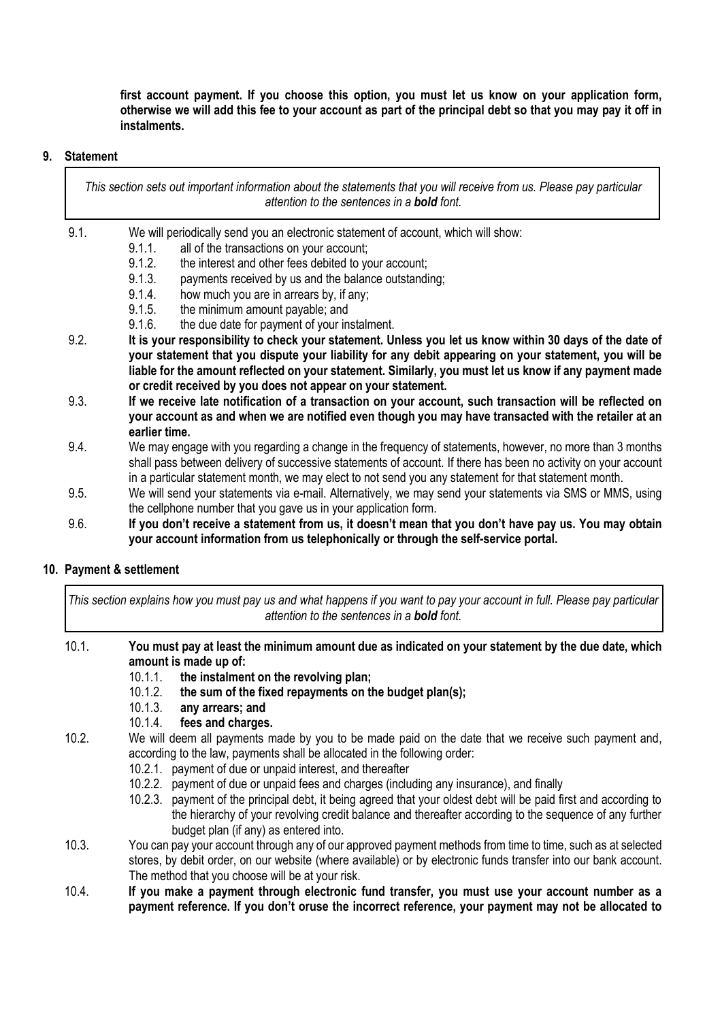**first account payment. If you choose this option, you must let us know on your application form, otherwise we will add this fee to your account as part of the principal debt so that you may pay it off in instalments.** 

#### **9. Statement**

*This section sets out important information about the statements that you will receive from us. Please pay particular attention to the sentences in a bold font.*

- 9.1. We will periodically send you an electronic statement of account, which will show:
	- 9.1.1. all of the transactions on your account;
		- 9.1.2. the interest and other fees debited to your account;
	- 9.1.3. payments received by us and the balance outstanding;
	- 9.1.4. how much you are in arrears by, if any;
	- 9.1.5. the minimum amount payable; and
	- 9.1.6. the due date for payment of your instalment.
- 9.2. **It is your responsibility to check your statement. Unless you let us know within 30 days of the date of your statement that you dispute your liability for any debit appearing on your statement, you will be liable for the amount reflected on your statement. Similarly, you must let us know if any payment made or credit received by you does not appear on your statement.**
- 9.3. **If we receive late notification of a transaction on your account, such transaction will be reflected on your account as and when we are notified even though you may have transacted with the retailer at an earlier time.**
- 9.4. We may engage with you regarding a change in the frequency of statements, however, no more than 3 months shall pass between delivery of successive statements of account. If there has been no activity on your account in a particular statement month, we may elect to not send you any statement for that statement month.
- 9.5. We will send your statements via e-mail. Alternatively, we may send your statements via SMS or MMS, using the cellphone number that you gave us in your application form.
- 9.6. **If you don't receive a statement from us, it doesn't mean that you don't have pay us. You may obtain your account information from us telephonically or through the self-service portal.**

## **10. Payment & settlement**

*This section explains how you must pay us and what happens if you want to pay your account in full. Please pay particular attention to the sentences in a bold font.*

- 10.1. **You must pay at least the minimum amount due as indicated on your statement by the due date, which amount is made up of:**
	- 10.1.1. **the instalment on the revolving plan;**
	- 10.1.2. **the sum of the fixed repayments on the budget plan(s);**
	- 10.1.3. **any arrears; and**
	- 10.1.4. **fees and charges.**
- 10.2. We will deem all payments made by you to be made paid on the date that we receive such payment and, according to the law, payments shall be allocated in the following order:
	- 10.2.1. payment of due or unpaid interest, and thereafter
	- 10.2.2. payment of due or unpaid fees and charges (including any insurance), and finally
	- 10.2.3. payment of the principal debt, it being agreed that your oldest debt will be paid first and according to the hierarchy of your revolving credit balance and thereafter according to the sequence of any further budget plan (if any) as entered into.
- 10.3. You can pay your account through any of our approved payment methods from time to time, such as at selected stores, by debit order, on our website (where available) or by electronic funds transfer into our bank account. The method that you choose will be at your risk.
- 10.4. **If you make a payment through electronic fund transfer, you must use your account number as a payment reference. If you don't oruse the incorrect reference, your payment may not be allocated to**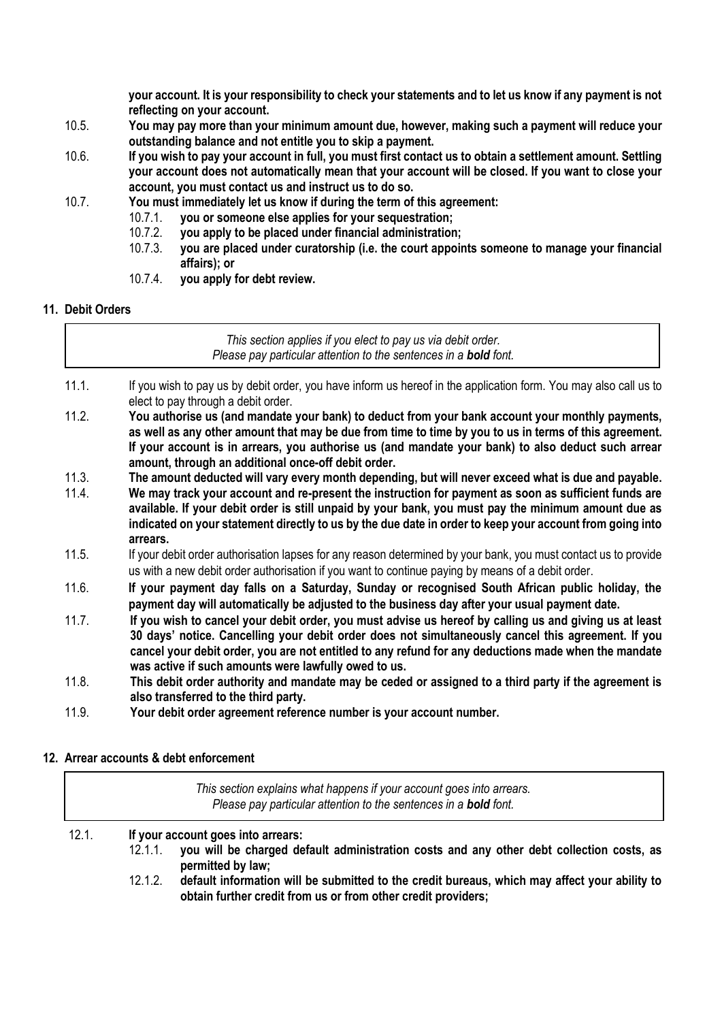**your account. It is your responsibility to check your statements and to let us know if any payment is not reflecting on your account.**

- 10.5. **You may pay more than your minimum amount due, however, making such a payment will reduce your outstanding balance and not entitle you to skip a payment.**
- 10.6. **If you wish to pay your account in full, you must first contact us to obtain a settlement amount. Settling your account does not automatically mean that your account will be closed. If you want to close your account, you must contact us and instruct us to do so.**
- 10.7. **You must immediately let us know if during the term of this agreement:**
	- 10.7.1. **you or someone else applies for your sequestration;**
		- 10.7.2. **you apply to be placed under financial administration;**
		- 10.7.3. **you are placed under curatorship (i.e. the court appoints someone to manage your financial affairs); or**
	- 10.7.4. **you apply for debt review.**

#### **11. Debit Orders**

*This section applies if you elect to pay us via debit order. Please pay particular attention to the sentences in a bold font.*

- 11.1. If you wish to pay us by debit order, you have inform us hereof in the application form. You may also call us to elect to pay through a debit order.
- 11.2. **You authorise us (and mandate your bank) to deduct from your bank account your monthly payments, as well as any other amount that may be due from time to time by you to us in terms of this agreement. If your account is in arrears, you authorise us (and mandate your bank) to also deduct such arrear amount, through an additional once-off debit order.**
- 11.3. **The amount deducted will vary every month depending, but will never exceed what is due and payable.**
- 11.4. **We may track your account and re-present the instruction for payment as soon as sufficient funds are available. If your debit order is still unpaid by your bank, you must pay the minimum amount due as indicated on your statement directly to us by the due date in order to keep your account from going into arrears.**
- 11.5. If your debit order authorisation lapses for any reason determined by your bank, you must contact us to provide us with a new debit order authorisation if you want to continue paying by means of a debit order.
- 11.6. **If your payment day falls on a Saturday, Sunday or recognised South African public holiday, the payment day will automatically be adjusted to the business day after your usual payment date.**
- 11.7. **If you wish to cancel your debit order, you must advise us hereof by calling us and giving us at least 30 days' notice. Cancelling your debit order does not simultaneously cancel this agreement. If you cancel your debit order, you are not entitled to any refund for any deductions made when the mandate was active if such amounts were lawfully owed to us.**
- 11.8. **This debit order authority and mandate may be ceded or assigned to a third party if the agreement is also transferred to the third party.**
- 11.9. **Your debit order agreement reference number is your account number.**

## **12. Arrear accounts & debt enforcement**

|       | This section explains what happens if your account goes into arrears.<br>Please pay particular attention to the sentences in a <b>bold</b> font.                  |
|-------|-------------------------------------------------------------------------------------------------------------------------------------------------------------------|
| 12.1. | If your account goes into arrears:<br>you will be charged default administration costs and any other debt collection costs, as<br>$12.1.1$ .<br>permitted by law; |

12.1.2. **default information will be submitted to the credit bureaus, which may affect your ability to obtain further credit from us or from other credit providers;**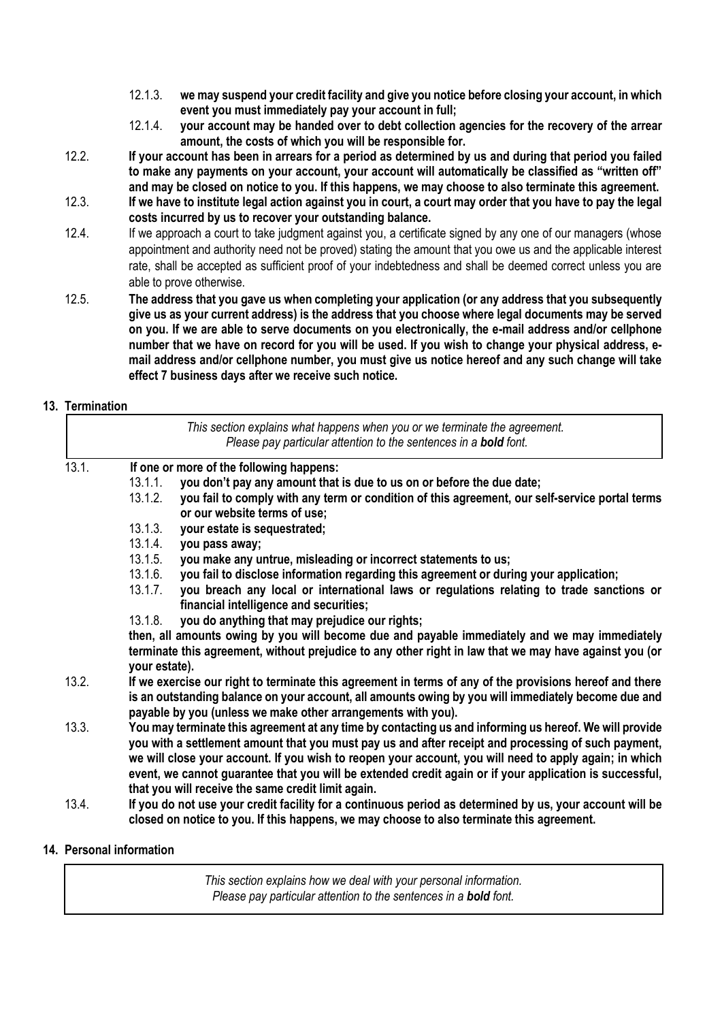- 12.1.3. **we may suspend your credit facility and give you notice before closing your account, in which event you must immediately pay your account in full;**
- 12.1.4. **your account may be handed over to debt collection agencies for the recovery of the arrear amount, the costs of which you will be responsible for.**
- 12.2. **If your account has been in arrears for a period as determined by us and during that period you failed to make any payments on your account, your account will automatically be classified as "written off" and may be closed on notice to you. If this happens, we may choose to also terminate this agreement.**
- 12.3. **If we have to institute legal action against you in court, a court may order that you have to pay the legal costs incurred by us to recover your outstanding balance.**
- 12.4. If we approach a court to take judgment against you, a certificate signed by any one of our managers (whose appointment and authority need not be proved) stating the amount that you owe us and the applicable interest rate, shall be accepted as sufficient proof of your indebtedness and shall be deemed correct unless you are able to prove otherwise.
- 12.5. **The address that you gave us when completing your application (or any address that you subsequently give us as your current address) is the address that you choose where legal documents may be served on you. If we are able to serve documents on you electronically, the e-mail address and/or cellphone number that we have on record for you will be used. If you wish to change your physical address, email address and/or cellphone number, you must give us notice hereof and any such change will take effect 7 business days after we receive such notice.**

## **13. Termination**

|       | This section explains what happens when you or we terminate the agreement.<br>Please pay particular attention to the sentences in a <b>bold</b> font.                                                                                                                                                                                                                                                                                                                                    |
|-------|------------------------------------------------------------------------------------------------------------------------------------------------------------------------------------------------------------------------------------------------------------------------------------------------------------------------------------------------------------------------------------------------------------------------------------------------------------------------------------------|
| 13.1. | If one or more of the following happens:                                                                                                                                                                                                                                                                                                                                                                                                                                                 |
|       | you don't pay any amount that is due to us on or before the due date;<br>13.1.1.                                                                                                                                                                                                                                                                                                                                                                                                         |
|       | 13.1.2.<br>you fail to comply with any term or condition of this agreement, our self-service portal terms<br>or our website terms of use;                                                                                                                                                                                                                                                                                                                                                |
|       | 13.1.3.<br>your estate is sequestrated;                                                                                                                                                                                                                                                                                                                                                                                                                                                  |
|       | 13.1.4.<br>you pass away;                                                                                                                                                                                                                                                                                                                                                                                                                                                                |
|       | 13.1.5.<br>you make any untrue, misleading or incorrect statements to us;                                                                                                                                                                                                                                                                                                                                                                                                                |
|       | 13.1.6.<br>you fail to disclose information regarding this agreement or during your application;                                                                                                                                                                                                                                                                                                                                                                                         |
|       | 13.1.7.<br>you breach any local or international laws or regulations relating to trade sanctions or<br>financial intelligence and securities;                                                                                                                                                                                                                                                                                                                                            |
|       | you do anything that may prejudice our rights;<br>13.1.8.                                                                                                                                                                                                                                                                                                                                                                                                                                |
|       | then, all amounts owing by you will become due and payable immediately and we may immediately<br>terminate this agreement, without prejudice to any other right in law that we may have against you (or<br>your estate).                                                                                                                                                                                                                                                                 |
| 13.2. | If we exercise our right to terminate this agreement in terms of any of the provisions hereof and there<br>is an outstanding balance on your account, all amounts owing by you will immediately become due and<br>payable by you (unless we make other arrangements with you).                                                                                                                                                                                                           |
| 13.3. | You may terminate this agreement at any time by contacting us and informing us hereof. We will provide<br>you with a settlement amount that you must pay us and after receipt and processing of such payment,<br>we will close your account. If you wish to reopen your account, you will need to apply again; in which<br>event, we cannot guarantee that you will be extended credit again or if your application is successful,<br>that you will receive the same credit limit again. |
| 13.4. | If you do not use your credit facility for a continuous period as determined by us, your account will be<br>closed on notice to you. If this happens, we may choose to also terminate this agreement.                                                                                                                                                                                                                                                                                    |

#### **14. Personal information**

*This section explains how we deal with your personal information. Please pay particular attention to the sentences in a bold font.*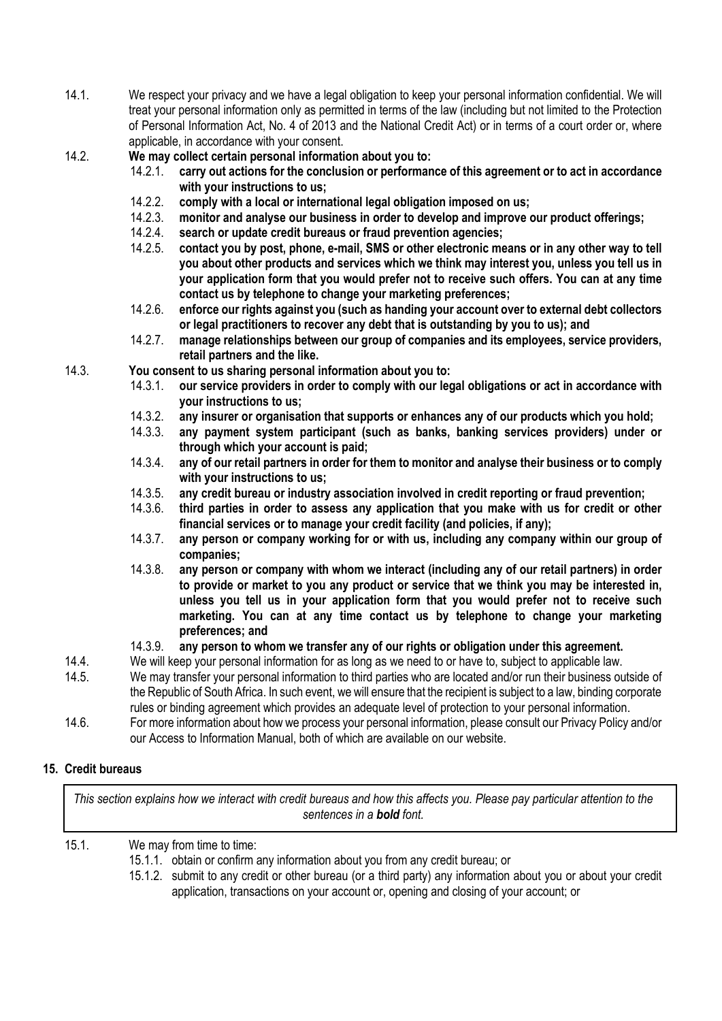- 14.1. We respect your privacy and we have a legal obligation to keep your personal information confidential. We will treat your personal information only as permitted in terms of the law (including but not limited to the Protection of Personal Information Act, No. 4 of 2013 and the National Credit Act) or in terms of a court order or, where applicable, in accordance with your consent.
- 14.2. **We may collect certain personal information about you to:**
	- 14.2.1. **carry out actions for the conclusion or performance of this agreement or to act in accordance with your instructions to us;**
	- 14.2.2. **comply with a local or international legal obligation imposed on us;**
	- 14.2.3. **monitor and analyse our business in order to develop and improve our product offerings;**
	- 14.2.4. **search or update credit bureaus or fraud prevention agencies;**
	- 14.2.5. **contact you by post, phone, e-mail, SMS or other electronic means or in any other way to tell you about other products and services which we think may interest you, unless you tell us in your application form that you would prefer not to receive such offers. You can at any time contact us by telephone to change your marketing preferences;**
	- 14.2.6. **enforce our rights against you (such as handing your account over to external debt collectors or legal practitioners to recover any debt that is outstanding by you to us); and**
	- 14.2.7. **manage relationships between our group of companies and its employees, service providers, retail partners and the like.**
- 14.3. **You consent to us sharing personal information about you to:**
	- 14.3.1. **our service providers in order to comply with our legal obligations or act in accordance with your instructions to us;**
	- 14.3.2. **any insurer or organisation that supports or enhances any of our products which you hold;**
	- any payment system participant (such as banks, banking services providers) under or **through which your account is paid;**
	- 14.3.4. **any of our retail partners in order for them to monitor and analyse their business or to comply with your instructions to us;**
	- 14.3.5. **any credit bureau or industry association involved in credit reporting or fraud prevention;**
	- 14.3.6. **third parties in order to assess any application that you make with us for credit or other financial services or to manage your credit facility (and policies, if any);**
	- 14.3.7. **any person or company working for or with us, including any company within our group of companies;**
	- 14.3.8. **any person or company with whom we interact (including any of our retail partners) in order to provide or market to you any product or service that we think you may be interested in, unless you tell us in your application form that you would prefer not to receive such marketing. You can at any time contact us by telephone to change your marketing preferences; and**
	- 14.3.9. **any person to whom we transfer any of our rights or obligation under this agreement.**
- 14.4. We will keep your personal information for as long as we need to or have to, subject to applicable law.
- 14.5. We may transfer your personal information to third parties who are located and/or run their business outside of the Republic of South Africa. In such event, we will ensure that the recipient is subject to a law, binding corporate rules or binding agreement which provides an adequate level of protection to your personal information.
- 14.6. For more information about how we process your personal information, please consult our Privacy Policy and/or our Access to Information Manual, both of which are available on our website.

## **15. Credit bureaus**

*This section explains how we interact with credit bureaus and how this affects you. Please pay particular attention to the sentences in a bold font.*

15.1. We may from time to time:

- 15.1.1. obtain or confirm any information about you from any credit bureau; or
- 15.1.2. submit to any credit or other bureau (or a third party) any information about you or about your credit application, transactions on your account or, opening and closing of your account; or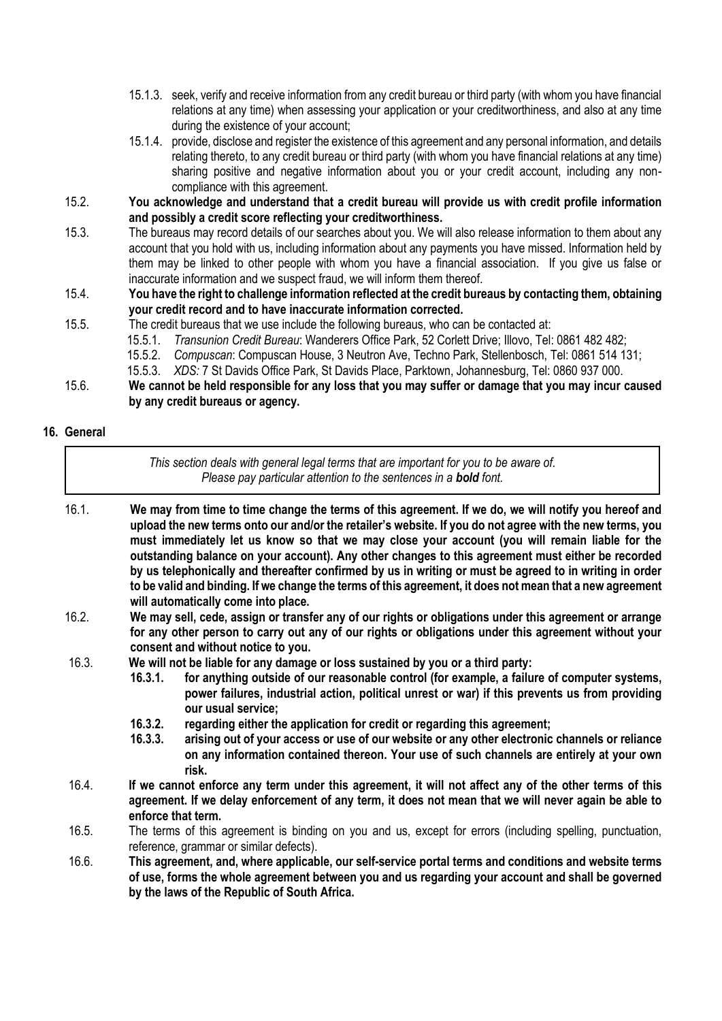- 15.1.3. seek, verify and receive information from any credit bureau or third party (with whom you have financial relations at any time) when assessing your application or your creditworthiness, and also at any time during the existence of your account;
- 15.1.4. provide, disclose and register the existence of this agreement and any personal information, and details relating thereto, to any credit bureau or third party (with whom you have financial relations at any time) sharing positive and negative information about you or your credit account, including any noncompliance with this agreement.
- 15.2. **You acknowledge and understand that a credit bureau will provide us with credit profile information and possibly a credit score reflecting your creditworthiness.**
- 15.3. The bureaus may record details of our searches about you. We will also release information to them about any account that you hold with us, including information about any payments you have missed. Information held by them may be linked to other people with whom you have a financial association. If you give us false or inaccurate information and we suspect fraud, we will inform them thereof.
- 15.4. **You have the right to challenge information reflected at the credit bureaus by contacting them, obtaining your credit record and to have inaccurate information corrected.**
- 15.5. The credit bureaus that we use include the following bureaus, who can be contacted at:
	- 15.5.1. *Transunion Credit Bureau*: Wanderers Office Park, 52 Corlett Drive; Illovo, Tel: 0861 482 482;
	- 15.5.2. *Compuscan*: Compuscan House, 3 Neutron Ave, Techno Park, Stellenbosch, Tel: 0861 514 131;
	- 15.5.3. *XDS:* 7 St Davids Office Park, St Davids Place, Parktown, Johannesburg, Tel: 0860 937 000.
- 15.6. **We cannot be held responsible for any loss that you may suffer or damage that you may incur caused by any credit bureaus or agency.**

#### **16. General**

- *This section deals with general legal terms that are important for you to be aware of. Please pay particular attention to the sentences in a bold font.* 16.1. **We may from time to time change the terms of this agreement. If we do, we will notify you hereof and upload the new terms onto our and/or the retailer's website. If you do not agree with the new terms, you must immediately let us know so that we may close your account (you will remain liable for the outstanding balance on your account). Any other changes to this agreement must either be recorded by us telephonically and thereafter confirmed by us in writing or must be agreed to in writing in order to be valid and binding. If we change the terms of this agreement, it does not mean that a new agreement will automatically come into place.** 16.2. **We may sell, cede, assign or transfer any of our rights or obligations under this agreement or arrange**
- **for any other person to carry out any of our rights or obligations under this agreement without your consent and without notice to you.**
- 16.3. **We will not be liable for any damage or loss sustained by you or a third party:**
	- **16.3.1. for anything outside of our reasonable control (for example, a failure of computer systems, power failures, industrial action, political unrest or war) if this prevents us from providing our usual service;**
	- **16.3.2. regarding either the application for credit or regarding this agreement;**
	- **16.3.3. arising out of your access or use of our website or any other electronic channels or reliance on any information contained thereon. Your use of such channels are entirely at your own risk.**
- 16.4. **If we cannot enforce any term under this agreement, it will not affect any of the other terms of this agreement. If we delay enforcement of any term, it does not mean that we will never again be able to enforce that term.**
- 16.5. The terms of this agreement is binding on you and us, except for errors (including spelling, punctuation, reference, grammar or similar defects).
- 16.6. **This agreement, and, where applicable, our self-service portal terms and conditions and website terms of use, forms the whole agreement between you and us regarding your account and shall be governed by the laws of the Republic of South Africa.**